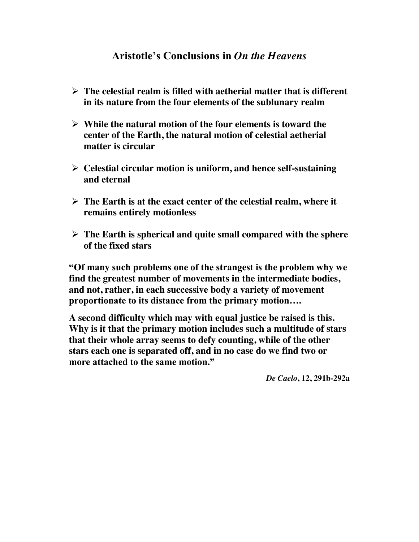## **Aristotle's Conclusions in** *On the Heavens*

- ¾ **The celestial realm is filled with aetherial matter that is different in its nature from the four elements of the sublunary realm**
- ¾ **While the natural motion of the four elements is toward the center of the Earth, the natural motion of celestial aetherial matter is circular**
- ¾ **Celestial circular motion is uniform, and hence self-sustaining and eternal**
- ¾ **The Earth is at the exact center of the celestial realm, where it remains entirely motionless**
- ¾ **The Earth is spherical and quite small compared with the sphere of the fixed stars**

**"Of many such problems one of the strangest is the problem why we find the greatest number of movements in the intermediate bodies, and not, rather, in each successive body a variety of movement proportionate to its distance from the primary motion….**

**A second difficulty which may with equal justice be raised is this. Why is it that the primary motion includes such a multitude of stars that their whole array seems to defy counting, while of the other stars each one is separated off, and in no case do we find two or more attached to the same motion."** 

*De Caelo***, 12, 291b-292a**